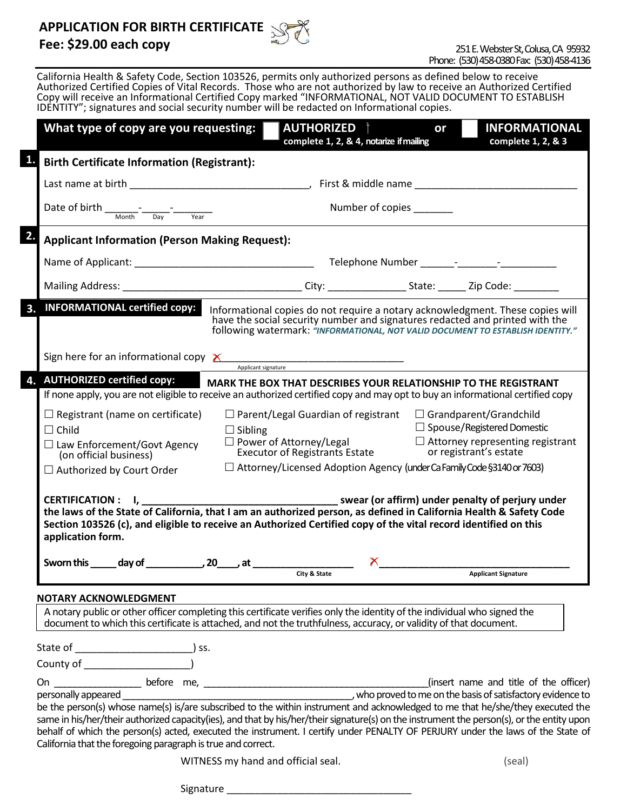### **APPLICATION FOR BIRTH CERTIFICATE**

## **Fee: \$29.00 each copy**



California Health & Safety Code, Section 103526, permits only authorized persons as defined below to receive Authorized Certified Copies of Vital Records. Those who are not authorized by law to receive an Authorized Certified Copy will receive an Informational Certified Copy marked "INFORMATIONAL, NOT VALID DOCUMENT TO ESTABLISH IDENTITY"; signatures and social security number will be redacted on Informational copies.

| <b>Birth Certificate Information (Registrant):</b>                                                                          |                                                                                                                                                                                                                                       |                                                                                                                                                                   |
|-----------------------------------------------------------------------------------------------------------------------------|---------------------------------------------------------------------------------------------------------------------------------------------------------------------------------------------------------------------------------------|-------------------------------------------------------------------------------------------------------------------------------------------------------------------|
|                                                                                                                             |                                                                                                                                                                                                                                       |                                                                                                                                                                   |
|                                                                                                                             |                                                                                                                                                                                                                                       |                                                                                                                                                                   |
| Number of copies<br>Date of birth $\frac{1}{\sqrt{m}}$ - $\frac{1}{\sqrt{m}}$ - $\frac{1}{\sqrt{m}}$ - $\frac{1}{\sqrt{m}}$ |                                                                                                                                                                                                                                       |                                                                                                                                                                   |
| <b>Applicant Information (Person Making Request):</b>                                                                       |                                                                                                                                                                                                                                       |                                                                                                                                                                   |
|                                                                                                                             |                                                                                                                                                                                                                                       |                                                                                                                                                                   |
|                                                                                                                             |                                                                                                                                                                                                                                       |                                                                                                                                                                   |
| 3. INFORMATIONAL certified copy:                                                                                            | have the social security number and signatures redacted and printed with the                                                                                                                                                          | Informational copies do not require a notary acknowledgment. These copies will<br>following watermark: "INFORMATIONAL, NOT VALID DOCUMENT TO ESTABLISH IDENTITY." |
| Sign here for an informational copy $\times$                                                                                | Applicant signature                                                                                                                                                                                                                   |                                                                                                                                                                   |
| <b>AUTHORIZED certified copy:</b>                                                                                           |                                                                                                                                                                                                                                       |                                                                                                                                                                   |
|                                                                                                                             |                                                                                                                                                                                                                                       | If none apply, you are not eligible to receive an authorized certified copy and may opt to buy an informational certified copy                                    |
| $\Box$ Registrant (name on certificate)                                                                                     | $\Box$ Parent/Legal Guardian of registrant $\Box$ Grandparent/Grandchild                                                                                                                                                              | $\Box$ Spouse/Registered Domestic                                                                                                                                 |
| $\Box$ Child<br>$\Box$ Law Enforcement/Govt Agency                                                                          | $\Box$ Sibling<br>□ Power of Attorney/Legal<br>Executor of Registrants Estate                                                                                                                                                         | $\Box$ Attorney representing registrant<br>or registrant's estate                                                                                                 |
| (on official business)<br>$\Box$ Authorized by Court Order                                                                  | $\Box$ Attorney/Licensed Adoption Agency (under Ca Family Code §3140 or 7603)                                                                                                                                                         |                                                                                                                                                                   |
| CERTIFICATION : I,<br>application form.                                                                                     | the laws of the State of California, that I am an authorized person, as defined in California Health & Safety Code<br>Section 103526 (c), and eligible to receive an Authorized Certified copy of the vital record identified on this | swear (or affirm) under penalty of perjury under                                                                                                                  |
|                                                                                                                             | x<br>City & State                                                                                                                                                                                                                     | <b>Applicant Signature</b>                                                                                                                                        |

Signature